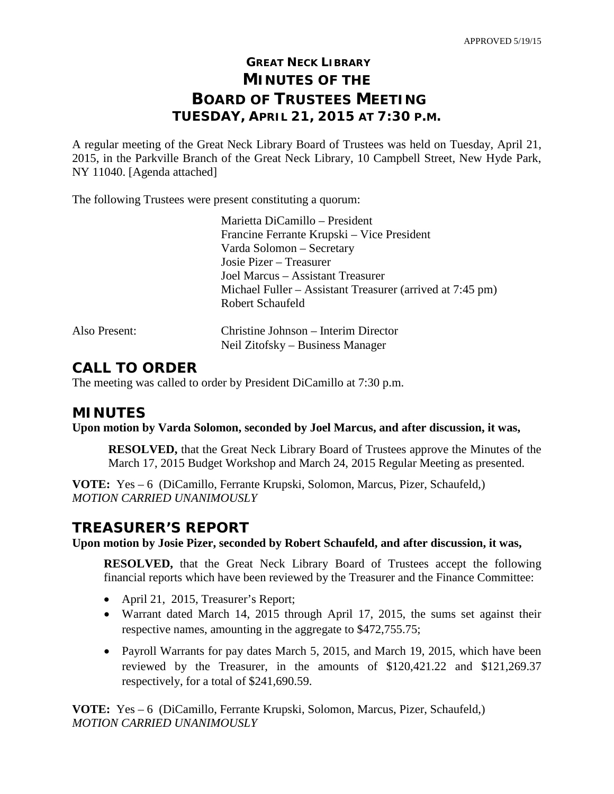# **GREAT NECK LIBRARY MINUTES OF THE BOARD OF TRUSTEES MEETING TUESDAY, APRIL 21, 2015 AT 7:30 P.M.**

A regular meeting of the Great Neck Library Board of Trustees was held on Tuesday, April 21, 2015, in the Parkville Branch of the Great Neck Library, 10 Campbell Street, New Hyde Park, NY 11040. [Agenda attached]

The following Trustees were present constituting a quorum:

|               | Marietta DiCamillo - President                                           |
|---------------|--------------------------------------------------------------------------|
|               | Francine Ferrante Krupski – Vice President                               |
|               | Varda Solomon – Secretary                                                |
|               | Josie Pizer – Treasurer                                                  |
|               | Joel Marcus – Assistant Treasurer                                        |
|               | Michael Fuller – Assistant Treasurer (arrived at 7:45 pm)                |
|               | Robert Schaufeld                                                         |
| Also Present: | Christine Johnson – Interim Director<br>Neil Zitofsky – Business Manager |
|               |                                                                          |

## **CALL TO ORDER**

The meeting was called to order by President DiCamillo at 7:30 p.m.

## **MINUTES**

**Upon motion by Varda Solomon, seconded by Joel Marcus, and after discussion, it was,**

**RESOLVED,** that the Great Neck Library Board of Trustees approve the Minutes of the March 17, 2015 Budget Workshop and March 24, 2015 Regular Meeting as presented.

**VOTE:** Yes – 6 (DiCamillo, Ferrante Krupski, Solomon, Marcus, Pizer, Schaufeld,) *MOTION CARRIED UNANIMOUSLY*

## **TREASURER'S REPORT**

**Upon motion by Josie Pizer, seconded by Robert Schaufeld, and after discussion, it was,**

**RESOLVED,** that the Great Neck Library Board of Trustees accept the following financial reports which have been reviewed by the Treasurer and the Finance Committee:

- April 21, 2015, Treasurer's Report;
- Warrant dated March 14, 2015 through April 17, 2015, the sums set against their respective names, amounting in the aggregate to \$472,755.75;
- Payroll Warrants for pay dates March 5, 2015, and March 19, 2015, which have been reviewed by the Treasurer, in the amounts of \$120,421.22 and \$121,269.37 respectively, for a total of \$241,690.59.

**VOTE:** Yes – 6 (DiCamillo, Ferrante Krupski, Solomon, Marcus, Pizer, Schaufeld,) *MOTION CARRIED UNANIMOUSLY*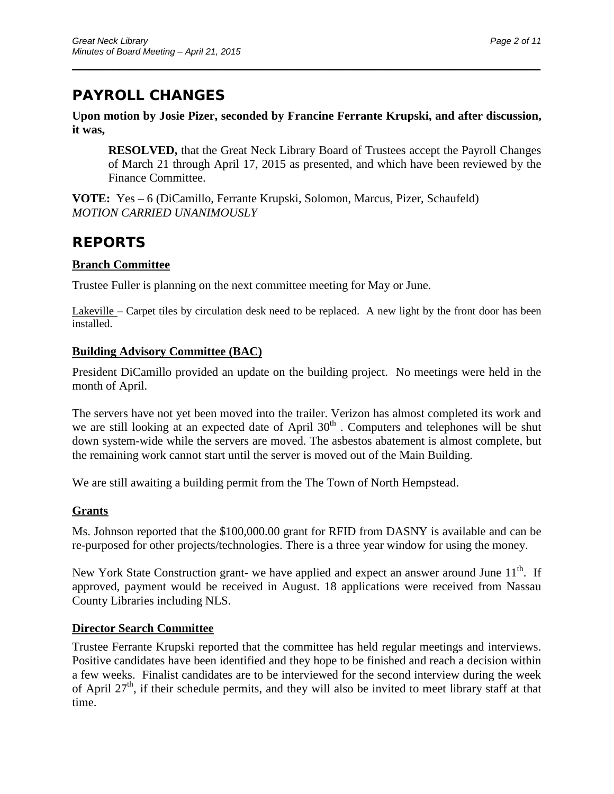# **PAYROLL CHANGES**

**Upon motion by Josie Pizer, seconded by Francine Ferrante Krupski, and after discussion, it was,**

\_\_\_\_\_\_\_\_\_\_\_\_\_\_\_\_\_\_\_\_\_\_\_\_\_\_\_\_\_\_\_\_\_\_\_\_\_\_\_\_\_\_\_\_\_\_\_\_\_\_\_\_\_\_\_\_\_\_\_\_\_\_\_\_\_\_\_\_\_\_

**RESOLVED,** that the Great Neck Library Board of Trustees accept the Payroll Changes of March 21 through April 17, 2015 as presented, and which have been reviewed by the Finance Committee.

**VOTE:** Yes – 6 (DiCamillo, Ferrante Krupski, Solomon, Marcus, Pizer, Schaufeld) *MOTION CARRIED UNANIMOUSLY* 

## **REPORTS**

## **Branch Committee**

Trustee Fuller is planning on the next committee meeting for May or June.

Lakeville – Carpet tiles by circulation desk need to be replaced. A new light by the front door has been installed.

## **Building Advisory Committee (BAC)**

President DiCamillo provided an update on the building project. No meetings were held in the month of April.

The servers have not yet been moved into the trailer. Verizon has almost completed its work and we are still looking at an expected date of April 30<sup>th</sup>. Computers and telephones will be shut down system-wide while the servers are moved. The asbestos abatement is almost complete, but the remaining work cannot start until the server is moved out of the Main Building.

We are still awaiting a building permit from the The Town of North Hempstead.

## **Grants**

Ms. Johnson reported that the \$100,000.00 grant for RFID from DASNY is available and can be re-purposed for other projects/technologies. There is a three year window for using the money.

New York State Construction grant- we have applied and expect an answer around June  $11<sup>th</sup>$ . If approved, payment would be received in August. 18 applications were received from Nassau County Libraries including NLS.

## **Director Search Committee**

Trustee Ferrante Krupski reported that the committee has held regular meetings and interviews. Positive candidates have been identified and they hope to be finished and reach a decision within a few weeks. Finalist candidates are to be interviewed for the second interview during the week of April  $27<sup>th</sup>$ , if their schedule permits, and they will also be invited to meet library staff at that time.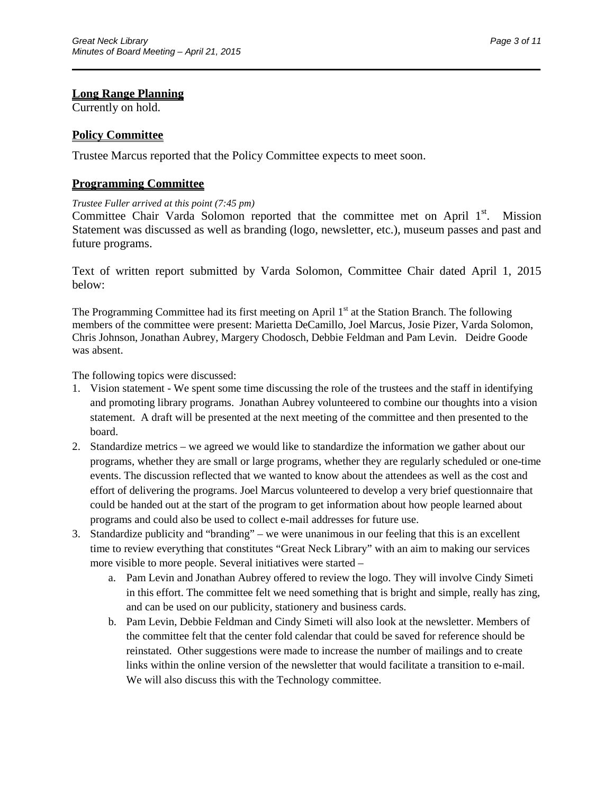### **Long Range Planning**

Currently on hold.

### **Policy Committee**

Trustee Marcus reported that the Policy Committee expects to meet soon.

#### **Programming Committee**

#### *Trustee Fuller arrived at this point (7:45 pm)*

Committee Chair Varda Solomon reported that the committee met on April 1<sup>st</sup>. Mission Statement was discussed as well as branding (logo, newsletter, etc.), museum passes and past and future programs.

\_\_\_\_\_\_\_\_\_\_\_\_\_\_\_\_\_\_\_\_\_\_\_\_\_\_\_\_\_\_\_\_\_\_\_\_\_\_\_\_\_\_\_\_\_\_\_\_\_\_\_\_\_\_\_\_\_\_\_\_\_\_\_\_\_\_\_\_\_\_

Text of written report submitted by Varda Solomon, Committee Chair dated April 1, 2015 below:

The Programming Committee had its first meeting on April  $1<sup>st</sup>$  at the Station Branch. The following members of the committee were present: Marietta DeCamillo, Joel Marcus, Josie Pizer, Varda Solomon, Chris Johnson, Jonathan Aubrey, Margery Chodosch, Debbie Feldman and Pam Levin. Deidre Goode was absent.

The following topics were discussed:

- 1. Vision statement We spent some time discussing the role of the trustees and the staff in identifying and promoting library programs. Jonathan Aubrey volunteered to combine our thoughts into a vision statement. A draft will be presented at the next meeting of the committee and then presented to the board.
- 2. Standardize metrics we agreed we would like to standardize the information we gather about our programs, whether they are small or large programs, whether they are regularly scheduled or one-time events. The discussion reflected that we wanted to know about the attendees as well as the cost and effort of delivering the programs. Joel Marcus volunteered to develop a very brief questionnaire that could be handed out at the start of the program to get information about how people learned about programs and could also be used to collect e-mail addresses for future use.
- 3. Standardize publicity and "branding" we were unanimous in our feeling that this is an excellent time to review everything that constitutes "Great Neck Library" with an aim to making our services more visible to more people. Several initiatives were started –
	- a. Pam Levin and Jonathan Aubrey offered to review the logo. They will involve Cindy Simeti in this effort. The committee felt we need something that is bright and simple, really has zing, and can be used on our publicity, stationery and business cards.
	- b. Pam Levin, Debbie Feldman and Cindy Simeti will also look at the newsletter. Members of the committee felt that the center fold calendar that could be saved for reference should be reinstated. Other suggestions were made to increase the number of mailings and to create links within the online version of the newsletter that would facilitate a transition to e-mail. We will also discuss this with the Technology committee.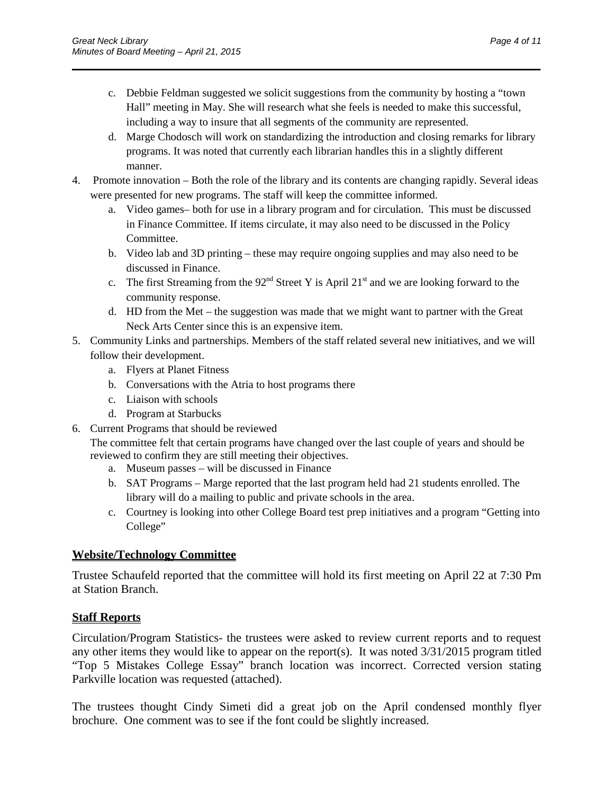c. Debbie Feldman suggested we solicit suggestions from the community by hosting a "town Hall" meeting in May. She will research what she feels is needed to make this successful, including a way to insure that all segments of the community are represented.

\_\_\_\_\_\_\_\_\_\_\_\_\_\_\_\_\_\_\_\_\_\_\_\_\_\_\_\_\_\_\_\_\_\_\_\_\_\_\_\_\_\_\_\_\_\_\_\_\_\_\_\_\_\_\_\_\_\_\_\_\_\_\_\_\_\_\_\_\_\_

- d. Marge Chodosch will work on standardizing the introduction and closing remarks for library programs. It was noted that currently each librarian handles this in a slightly different manner.
- 4. Promote innovation Both the role of the library and its contents are changing rapidly. Several ideas were presented for new programs. The staff will keep the committee informed.
	- a. Video games– both for use in a library program and for circulation. This must be discussed in Finance Committee. If items circulate, it may also need to be discussed in the Policy Committee.
	- b. Video lab and 3D printing these may require ongoing supplies and may also need to be discussed in Finance.
	- c. The first Streaming from the  $92<sup>nd</sup>$  Street Y is April  $21<sup>st</sup>$  and we are looking forward to the community response.
	- d. HD from the Met the suggestion was made that we might want to partner with the Great Neck Arts Center since this is an expensive item.
- 5. Community Links and partnerships. Members of the staff related several new initiatives, and we will follow their development.
	- a. Flyers at Planet Fitness
	- b. Conversations with the Atria to host programs there
	- c. Liaison with schools
	- d. Program at Starbucks
- 6. Current Programs that should be reviewed

The committee felt that certain programs have changed over the last couple of years and should be reviewed to confirm they are still meeting their objectives.

- a. Museum passes will be discussed in Finance
- b. SAT Programs Marge reported that the last program held had 21 students enrolled. The library will do a mailing to public and private schools in the area.
- c. Courtney is looking into other College Board test prep initiatives and a program "Getting into College"

## **Website/Technology Committee**

Trustee Schaufeld reported that the committee will hold its first meeting on April 22 at 7:30 Pm at Station Branch.

## **Staff Reports**

Circulation/Program Statistics- the trustees were asked to review current reports and to request any other items they would like to appear on the report(s). It was noted 3/31/2015 program titled "Top 5 Mistakes College Essay" branch location was incorrect. Corrected version stating Parkville location was requested (attached).

The trustees thought Cindy Simeti did a great job on the April condensed monthly flyer brochure. One comment was to see if the font could be slightly increased.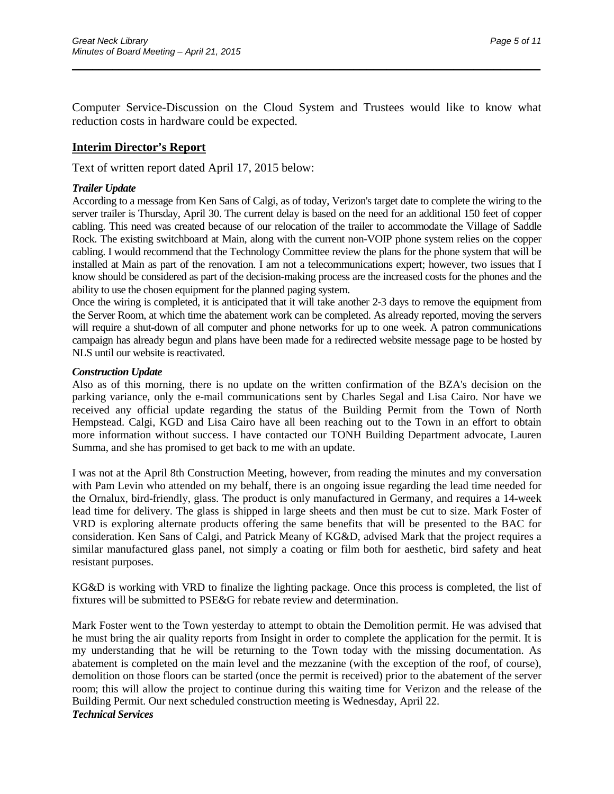Computer Service-Discussion on the Cloud System and Trustees would like to know what reduction costs in hardware could be expected.

\_\_\_\_\_\_\_\_\_\_\_\_\_\_\_\_\_\_\_\_\_\_\_\_\_\_\_\_\_\_\_\_\_\_\_\_\_\_\_\_\_\_\_\_\_\_\_\_\_\_\_\_\_\_\_\_\_\_\_\_\_\_\_\_\_\_\_\_\_\_

### **Interim Director's Report**

Text of written report dated April 17, 2015 below:

#### *Trailer Update*

According to a message from Ken Sans of Calgi, as of today, Verizon's target date to complete the wiring to the server trailer is Thursday, April 30. The current delay is based on the need for an additional 150 feet of copper cabling. This need was created because of our relocation of the trailer to accommodate the Village of Saddle Rock. The existing switchboard at Main, along with the current non-VOIP phone system relies on the copper cabling. I would recommend that the Technology Committee review the plans for the phone system that will be installed at Main as part of the renovation. I am not a telecommunications expert; however, two issues that I know should be considered as part of the decision-making process are the increased costs for the phones and the ability to use the chosen equipment for the planned paging system.

Once the wiring is completed, it is anticipated that it will take another 2-3 days to remove the equipment from the Server Room, at which time the abatement work can be completed. As already reported, moving the servers will require a shut-down of all computer and phone networks for up to one week. A patron communications campaign has already begun and plans have been made for a redirected website message page to be hosted by NLS until our website is reactivated.

#### *Construction Update*

Also as of this morning, there is no update on the written confirmation of the BZA's decision on the parking variance, only the e-mail communications sent by Charles Segal and Lisa Cairo. Nor have we received any official update regarding the status of the Building Permit from the Town of North Hempstead. Calgi, KGD and Lisa Cairo have all been reaching out to the Town in an effort to obtain more information without success. I have contacted our TONH Building Department advocate, Lauren Summa, and she has promised to get back to me with an update.

I was not at the April 8th Construction Meeting, however, from reading the minutes and my conversation with Pam Levin who attended on my behalf, there is an ongoing issue regarding the lead time needed for the Ornalux, bird-friendly, glass. The product is only manufactured in Germany, and requires a 14-week lead time for delivery. The glass is shipped in large sheets and then must be cut to size. Mark Foster of VRD is exploring alternate products offering the same benefits that will be presented to the BAC for consideration. Ken Sans of Calgi, and Patrick Meany of KG&D, advised Mark that the project requires a similar manufactured glass panel, not simply a coating or film both for aesthetic, bird safety and heat resistant purposes.

KG&D is working with VRD to finalize the lighting package. Once this process is completed, the list of fixtures will be submitted to PSE&G for rebate review and determination.

Mark Foster went to the Town yesterday to attempt to obtain the Demolition permit. He was advised that he must bring the air quality reports from Insight in order to complete the application for the permit. It is my understanding that he will be returning to the Town today with the missing documentation. As abatement is completed on the main level and the mezzanine (with the exception of the roof, of course), demolition on those floors can be started (once the permit is received) prior to the abatement of the server room; this will allow the project to continue during this waiting time for Verizon and the release of the Building Permit. Our next scheduled construction meeting is Wednesday, April 22. *Technical Services*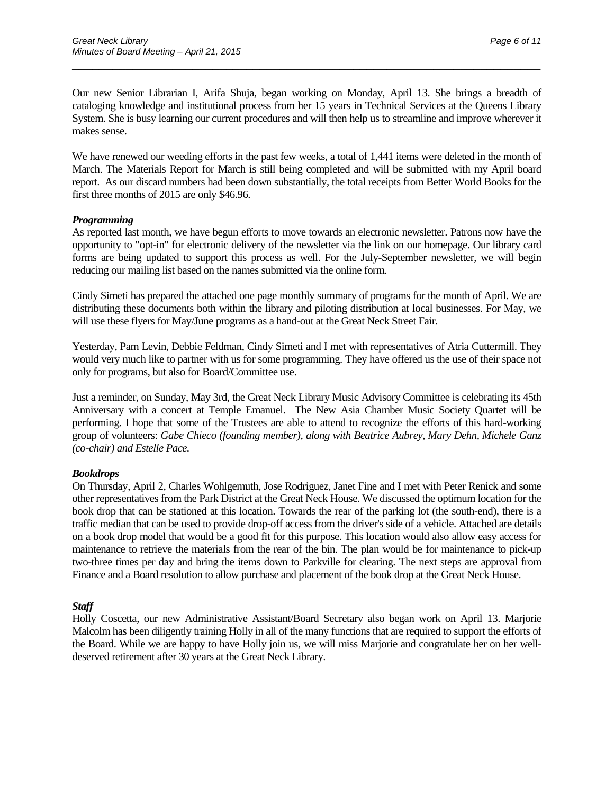Our new Senior Librarian I, Arifa Shuja, began working on Monday, April 13. She brings a breadth of cataloging knowledge and institutional process from her 15 years in Technical Services at the Queens Library System. She is busy learning our current procedures and will then help us to streamline and improve wherever it makes sense.

\_\_\_\_\_\_\_\_\_\_\_\_\_\_\_\_\_\_\_\_\_\_\_\_\_\_\_\_\_\_\_\_\_\_\_\_\_\_\_\_\_\_\_\_\_\_\_\_\_\_\_\_\_\_\_\_\_\_\_\_\_\_\_\_\_\_\_\_\_\_

We have renewed our weeding efforts in the past few weeks, a total of 1,441 items were deleted in the month of March. The Materials Report for March is still being completed and will be submitted with my April board report. As our discard numbers had been down substantially, the total receipts from Better World Books for the first three months of 2015 are only \$46.96.

#### *Programming*

As reported last month, we have begun efforts to move towards an electronic newsletter. Patrons now have the opportunity to "opt-in" for electronic delivery of the newsletter via the link on our homepage. Our library card forms are being updated to support this process as well. For the July-September newsletter, we will begin reducing our mailing list based on the names submitted via the online form.

Cindy Simeti has prepared the attached one page monthly summary of programs for the month of April. We are distributing these documents both within the library and piloting distribution at local businesses. For May, we will use these flyers for May/June programs as a hand-out at the Great Neck Street Fair.

Yesterday, Pam Levin, Debbie Feldman, Cindy Simeti and I met with representatives of Atria Cuttermill. They would very much like to partner with us for some programming. They have offered us the use of their space not only for programs, but also for Board/Committee use.

Just a reminder, on Sunday, May 3rd, the Great Neck Library Music Advisory Committee is celebrating its 45th Anniversary with a concert at Temple Emanuel. The New Asia Chamber Music Society Quartet will be performing. I hope that some of the Trustees are able to attend to recognize the efforts of this hard-working group of volunteers: *Gabe Chieco (founding member), along with Beatrice Aubrey, Mary Dehn, Michele Ganz (co-chair) and Estelle Pace.*

#### *Bookdrops*

On Thursday, April 2, Charles Wohlgemuth, Jose Rodriguez, Janet Fine and I met with Peter Renick and some other representatives from the Park District at the Great Neck House. We discussed the optimum location for the book drop that can be stationed at this location. Towards the rear of the parking lot (the south-end), there is a traffic median that can be used to provide drop-off access from the driver's side of a vehicle. Attached are details on a book drop model that would be a good fit for this purpose. This location would also allow easy access for maintenance to retrieve the materials from the rear of the bin. The plan would be for maintenance to pick-up two-three times per day and bring the items down to Parkville for clearing. The next steps are approval from Finance and a Board resolution to allow purchase and placement of the book drop at the Great Neck House.

#### *Staff*

Holly Coscetta, our new Administrative Assistant/Board Secretary also began work on April 13. Marjorie Malcolm has been diligently training Holly in all of the many functions that are required to support the efforts of the Board. While we are happy to have Holly join us, we will miss Marjorie and congratulate her on her welldeserved retirement after 30 years at the Great Neck Library.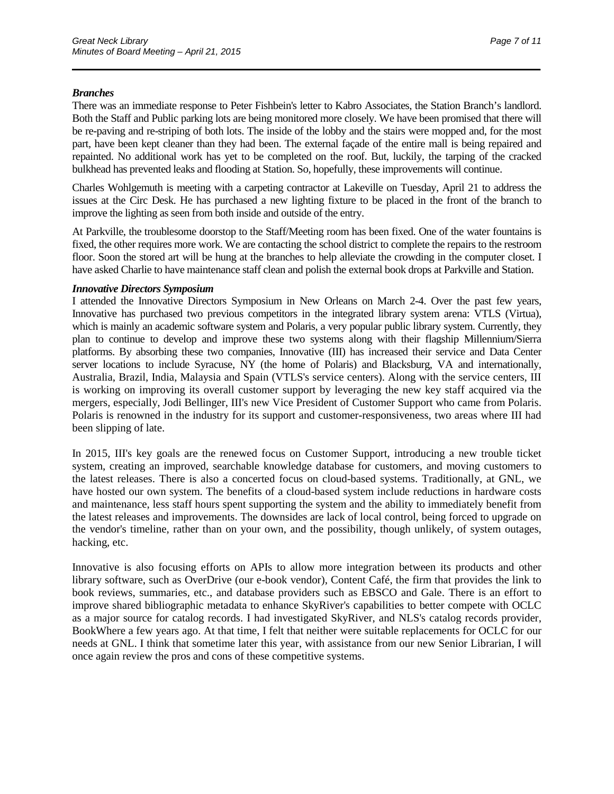#### *Branches*

There was an immediate response to Peter Fishbein's letter to Kabro Associates, the Station Branch's landlord. Both the Staff and Public parking lots are being monitored more closely. We have been promised that there will be re-paving and re-striping of both lots. The inside of the lobby and the stairs were mopped and, for the most part, have been kept cleaner than they had been. The external façade of the entire mall is being repaired and repainted. No additional work has yet to be completed on the roof. But, luckily, the tarping of the cracked bulkhead has prevented leaks and flooding at Station. So, hopefully, these improvements will continue.

\_\_\_\_\_\_\_\_\_\_\_\_\_\_\_\_\_\_\_\_\_\_\_\_\_\_\_\_\_\_\_\_\_\_\_\_\_\_\_\_\_\_\_\_\_\_\_\_\_\_\_\_\_\_\_\_\_\_\_\_\_\_\_\_\_\_\_\_\_\_

Charles Wohlgemuth is meeting with a carpeting contractor at Lakeville on Tuesday, April 21 to address the issues at the Circ Desk. He has purchased a new lighting fixture to be placed in the front of the branch to improve the lighting as seen from both inside and outside of the entry.

At Parkville, the troublesome doorstop to the Staff/Meeting room has been fixed. One of the water fountains is fixed, the other requires more work. We are contacting the school district to complete the repairs to the restroom floor. Soon the stored art will be hung at the branches to help alleviate the crowding in the computer closet. I have asked Charlie to have maintenance staff clean and polish the external book drops at Parkville and Station.

#### *Innovative Directors Symposium*

I attended the Innovative Directors Symposium in New Orleans on March 2-4. Over the past few years, Innovative has purchased two previous competitors in the integrated library system arena: VTLS (Virtua), which is mainly an academic software system and Polaris, a very popular public library system. Currently, they plan to continue to develop and improve these two systems along with their flagship Millennium/Sierra platforms. By absorbing these two companies, Innovative (III) has increased their service and Data Center server locations to include Syracuse, NY (the home of Polaris) and Blacksburg, VA and internationally, Australia, Brazil, India, Malaysia and Spain (VTLS's service centers). Along with the service centers, III is working on improving its overall customer support by leveraging the new key staff acquired via the mergers, especially, Jodi Bellinger, III's new Vice President of Customer Support who came from Polaris. Polaris is renowned in the industry for its support and customer-responsiveness, two areas where III had been slipping of late.

In 2015, III's key goals are the renewed focus on Customer Support, introducing a new trouble ticket system, creating an improved, searchable knowledge database for customers, and moving customers to the latest releases. There is also a concerted focus on cloud-based systems. Traditionally, at GNL, we have hosted our own system. The benefits of a cloud-based system include reductions in hardware costs and maintenance, less staff hours spent supporting the system and the ability to immediately benefit from the latest releases and improvements. The downsides are lack of local control, being forced to upgrade on the vendor's timeline, rather than on your own, and the possibility, though unlikely, of system outages, hacking, etc.

Innovative is also focusing efforts on APIs to allow more integration between its products and other library software, such as OverDrive (our e-book vendor), Content Café, the firm that provides the link to book reviews, summaries, etc., and database providers such as EBSCO and Gale. There is an effort to improve shared bibliographic metadata to enhance SkyRiver's capabilities to better compete with OCLC as a major source for catalog records. I had investigated SkyRiver, and NLS's catalog records provider, BookWhere a few years ago. At that time, I felt that neither were suitable replacements for OCLC for our needs at GNL. I think that sometime later this year, with assistance from our new Senior Librarian, I will once again review the pros and cons of these competitive systems.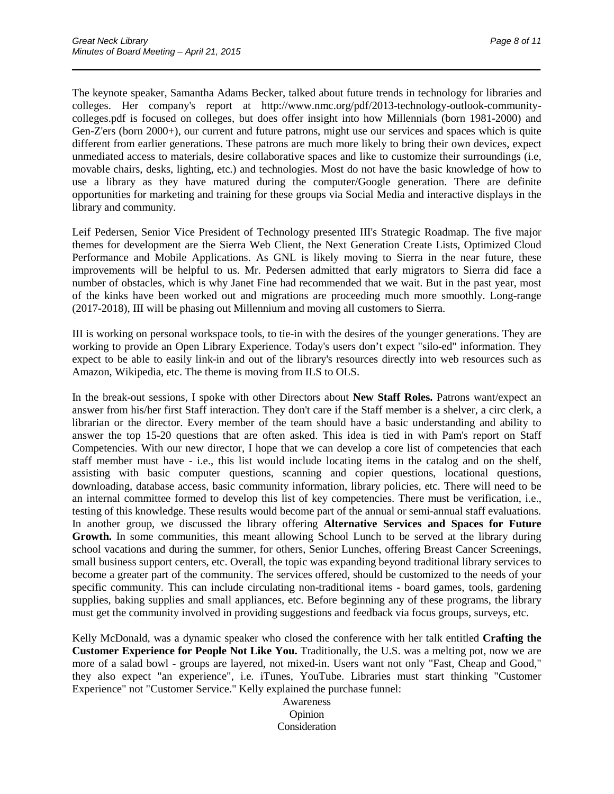The keynote speaker, Samantha Adams Becker, talked about future trends in technology for libraries and colleges. Her company's report at http://www.nmc.org/pdf/2013-technology-outlook-communitycolleges.pdf is focused on colleges, but does offer insight into how Millennials (born 1981-2000) and Gen-Z'ers (born 2000+), our current and future patrons, might use our services and spaces which is quite different from earlier generations. These patrons are much more likely to bring their own devices, expect unmediated access to materials, desire collaborative spaces and like to customize their surroundings (i.e, movable chairs, desks, lighting, etc.) and technologies. Most do not have the basic knowledge of how to use a library as they have matured during the computer/Google generation. There are definite opportunities for marketing and training for these groups via Social Media and interactive displays in the library and community.

\_\_\_\_\_\_\_\_\_\_\_\_\_\_\_\_\_\_\_\_\_\_\_\_\_\_\_\_\_\_\_\_\_\_\_\_\_\_\_\_\_\_\_\_\_\_\_\_\_\_\_\_\_\_\_\_\_\_\_\_\_\_\_\_\_\_\_\_\_\_

Leif Pedersen, Senior Vice President of Technology presented III's Strategic Roadmap. The five major themes for development are the Sierra Web Client, the Next Generation Create Lists, Optimized Cloud Performance and Mobile Applications. As GNL is likely moving to Sierra in the near future, these improvements will be helpful to us. Mr. Pedersen admitted that early migrators to Sierra did face a number of obstacles, which is why Janet Fine had recommended that we wait. But in the past year, most of the kinks have been worked out and migrations are proceeding much more smoothly. Long-range (2017-2018), III will be phasing out Millennium and moving all customers to Sierra.

III is working on personal workspace tools, to tie-in with the desires of the younger generations. They are working to provide an Open Library Experience. Today's users don't expect "silo-ed" information. They expect to be able to easily link-in and out of the library's resources directly into web resources such as Amazon, Wikipedia, etc. The theme is moving from ILS to OLS.

In the break-out sessions, I spoke with other Directors about **New Staff Roles.** Patrons want/expect an answer from his/her first Staff interaction. They don't care if the Staff member is a shelver, a circ clerk, a librarian or the director. Every member of the team should have a basic understanding and ability to answer the top 15-20 questions that are often asked. This idea is tied in with Pam's report on Staff Competencies. With our new director, I hope that we can develop a core list of competencies that each staff member must have - i.e., this list would include locating items in the catalog and on the shelf, assisting with basic computer questions, scanning and copier questions, locational questions, downloading, database access, basic community information, library policies, etc. There will need to be an internal committee formed to develop this list of key competencies. There must be verification, i.e., testing of this knowledge. These results would become part of the annual or semi-annual staff evaluations. In another group, we discussed the library offering **Alternative Services and Spaces for Future Growth.** In some communities, this meant allowing School Lunch to be served at the library during school vacations and during the summer, for others, Senior Lunches, offering Breast Cancer Screenings, small business support centers, etc. Overall, the topic was expanding beyond traditional library services to become a greater part of the community. The services offered, should be customized to the needs of your specific community. This can include circulating non-traditional items - board games, tools, gardening supplies, baking supplies and small appliances, etc. Before beginning any of these programs, the library must get the community involved in providing suggestions and feedback via focus groups, surveys, etc.

Kelly McDonald, was a dynamic speaker who closed the conference with her talk entitled **Crafting the Customer Experience for People Not Like You.** Traditionally, the U.S. was a melting pot, now we are more of a salad bowl - groups are layered, not mixed-in. Users want not only "Fast, Cheap and Good," they also expect "an experience", i.e. iTunes, YouTube. Libraries must start thinking "Customer Experience" not "Customer Service." Kelly explained the purchase funnel:

> Awareness Opinion Consideration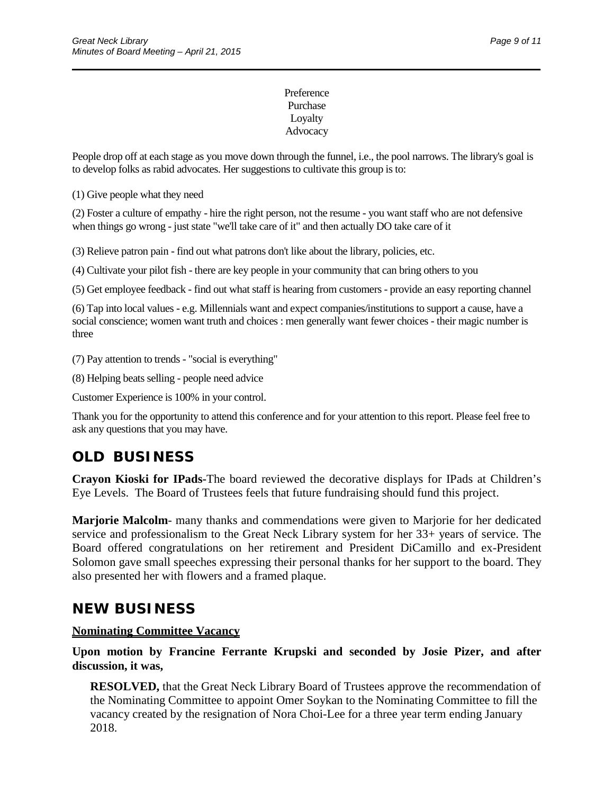### Preference Purchase Loyalty Advocacy

\_\_\_\_\_\_\_\_\_\_\_\_\_\_\_\_\_\_\_\_\_\_\_\_\_\_\_\_\_\_\_\_\_\_\_\_\_\_\_\_\_\_\_\_\_\_\_\_\_\_\_\_\_\_\_\_\_\_\_\_\_\_\_\_\_\_\_\_\_\_

People drop off at each stage as you move down through the funnel, i.e., the pool narrows. The library's goal is to develop folks as rabid advocates. Her suggestions to cultivate this group is to:

(1) Give people what they need

(2) Foster a culture of empathy - hire the right person, not the resume - you want staff who are not defensive when things go wrong - just state "we'll take care of it" and then actually DO take care of it

(3) Relieve patron pain - find out what patrons don't like about the library, policies, etc.

(4) Cultivate your pilot fish - there are key people in your community that can bring others to you

(5) Get employee feedback - find out what staff is hearing from customers - provide an easy reporting channel

(6) Tap into local values - e.g. Millennials want and expect companies/institutions to support a cause, have a social conscience; women want truth and choices : men generally want fewer choices - their magic number is three

(7) Pay attention to trends - "social is everything"

(8) Helping beats selling - people need advice

Customer Experience is 100% in your control.

Thank you for the opportunity to attend this conference and for your attention to this report. Please feel free to ask any questions that you may have.

# **OLD BUSINESS**

**Crayon Kioski for IPads-**The board reviewed the decorative displays for IPads at Children's Eye Levels. The Board of Trustees feels that future fundraising should fund this project.

**Marjorie Malcolm**- many thanks and commendations were given to Marjorie for her dedicated service and professionalism to the Great Neck Library system for her 33+ years of service. The Board offered congratulations on her retirement and President DiCamillo and ex-President Solomon gave small speeches expressing their personal thanks for her support to the board. They also presented her with flowers and a framed plaque.

## **NEW BUSINESS**

### **Nominating Committee Vacancy**

**Upon motion by Francine Ferrante Krupski and seconded by Josie Pizer, and after discussion, it was,**

**RESOLVED,** that the Great Neck Library Board of Trustees approve the recommendation of the Nominating Committee to appoint Omer Soykan to the Nominating Committee to fill the vacancy created by the resignation of Nora Choi-Lee for a three year term ending January 2018.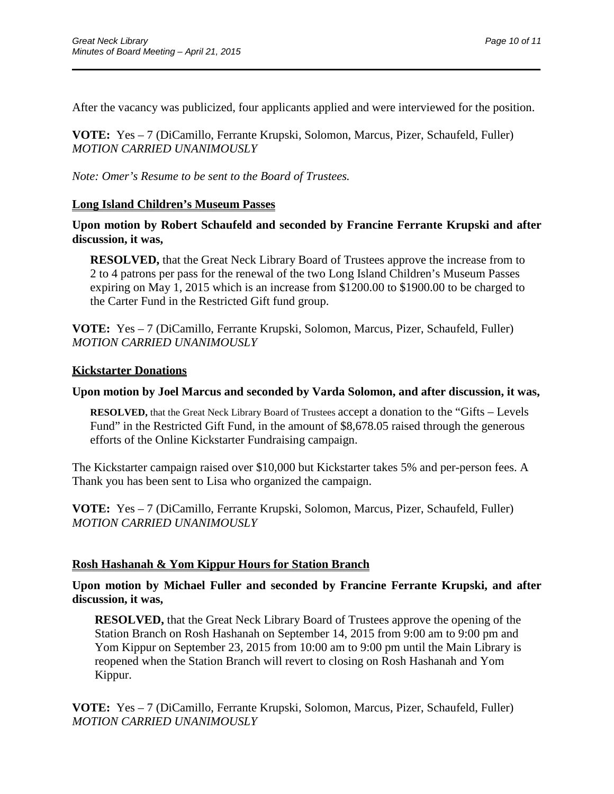After the vacancy was publicized, four applicants applied and were interviewed for the position.

\_\_\_\_\_\_\_\_\_\_\_\_\_\_\_\_\_\_\_\_\_\_\_\_\_\_\_\_\_\_\_\_\_\_\_\_\_\_\_\_\_\_\_\_\_\_\_\_\_\_\_\_\_\_\_\_\_\_\_\_\_\_\_\_\_\_\_\_\_\_

**VOTE:** Yes – 7 (DiCamillo, Ferrante Krupski, Solomon, Marcus, Pizer, Schaufeld, Fuller) *MOTION CARRIED UNANIMOUSLY* 

*Note: Omer's Resume to be sent to the Board of Trustees.*

## **Long Island Children's Museum Passes**

## **Upon motion by Robert Schaufeld and seconded by Francine Ferrante Krupski and after discussion, it was,**

**RESOLVED,** that the Great Neck Library Board of Trustees approve the increase from to 2 to 4 patrons per pass for the renewal of the two Long Island Children's Museum Passes expiring on May 1, 2015 which is an increase from \$1200.00 to \$1900.00 to be charged to the Carter Fund in the Restricted Gift fund group.

**VOTE:** Yes – 7 (DiCamillo, Ferrante Krupski, Solomon, Marcus, Pizer, Schaufeld, Fuller) *MOTION CARRIED UNANIMOUSLY* 

## **Kickstarter Donations**

## **Upon motion by Joel Marcus and seconded by Varda Solomon, and after discussion, it was,**

**RESOLVED,** that the Great Neck Library Board of Trustees accept a donation to the "Gifts – Levels Fund" in the Restricted Gift Fund, in the amount of \$8,678.05 raised through the generous efforts of the Online Kickstarter Fundraising campaign.

The Kickstarter campaign raised over \$10,000 but Kickstarter takes 5% and per-person fees. A Thank you has been sent to Lisa who organized the campaign.

**VOTE:** Yes – 7 (DiCamillo, Ferrante Krupski, Solomon, Marcus, Pizer, Schaufeld, Fuller) *MOTION CARRIED UNANIMOUSLY* 

## **Rosh Hashanah & Yom Kippur Hours for Station Branch**

**Upon motion by Michael Fuller and seconded by Francine Ferrante Krupski, and after discussion, it was,**

**RESOLVED,** that the Great Neck Library Board of Trustees approve the opening of the Station Branch on Rosh Hashanah on September 14, 2015 from 9:00 am to 9:00 pm and Yom Kippur on September 23, 2015 from 10:00 am to 9:00 pm until the Main Library is reopened when the Station Branch will revert to closing on Rosh Hashanah and Yom Kippur.

**VOTE:** Yes – 7 (DiCamillo, Ferrante Krupski, Solomon, Marcus, Pizer, Schaufeld, Fuller) *MOTION CARRIED UNANIMOUSLY*